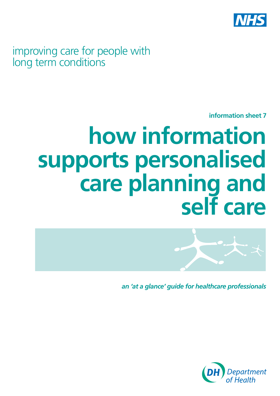

improving care for people with long term conditions

**information sheet 7** 

# **how information supports personalised care planning and self care**



*an 'at a glance' guide for healthcare professionals*

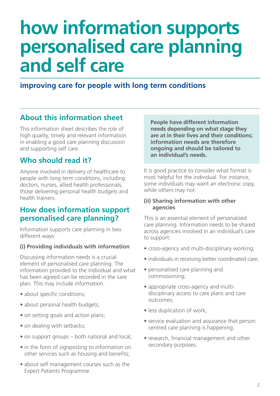## **how information supports personalised care planning and self care**

**improving care for people with long term conditions**

## **About this information sheet**

This information sheet describes the role of high quality, timely and relevant information in enabling a good care planning discussion and supporting self care.

## **Who should read it?**

Anyone involved in delivery of healthcare to people with long term conditions, including doctors, nurses, allied health professionals, those delivering personal health budgets and health trainers.

## **How does information support personalised care planning?**

Information supports care planning in two different ways:

#### **(i) Providing individuals with information**

Discussing information needs is a crucial element of personalised care planning. The information provided to the individual and what has been agreed can be recorded in the care plan. This may include information:

- about specific conditions;
- about personal health budgets;
- on setting goals and action plans;
- on dealing with setbacks;
- on support groups both national and local;
- in the form of signposting to information on other services such as housing and benefits;
- about self management courses such as the Expert Patients Programme.

**People have different information needs depending on what stage they are at in their lives and their conditions; information needs are therefore ongoing and should be tailored to an individual's needs.** 

It is good practice to consider what format is most helpful for the individual. For instance, some individuals may want an electronic copy, while others may not.

#### **(ii) Sharing information with other agencies**

This is an essential element of personalised care planning. Information needs to be shared across agencies involved in an individual's care to support:

- cross-agency and multi-disciplinary working;
- individuals in receiving better coordinated care;
- personalised care planning and commissioning;
- appropriate cross-agency and multidisciplinary access to care plans and care outcomes;
- less duplication of work;
- service evaluation and assurance that person centred care planning is happening;
- research, financial management and other secondary purposes.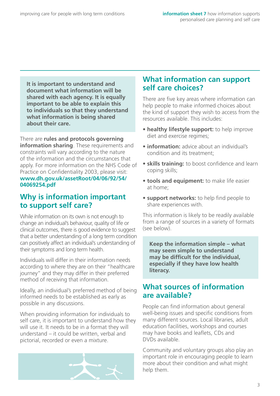**It is important to understand and document what information will be shared with each agency. It is equally important to be able to explain this to individuals so that they understand what information is being shared about their care.** 

There are **rules and protocols governing information sharing**. These requirements and constraints will vary according to the nature of the information and the circumstances that apply. For more information on the NHS Code of Practice on Confidentiality 2003, please visit: **[www.dh.gov.uk/assetRoot/04/06/92/54/](http://www.dh.gov.uk/assetRoot/04/06/92/54/04069254.pdf)  04069254.pdf** 

## **Why is information important to support self care?**

While information on its own is not enough to change an individual's behaviour, quality of life or clinical outcomes, there is good evidence to suggest that a better understanding of a long term condition can positively affect an individual's understanding of their symptoms and long term health.

Individuals will differ in their information needs according to where they are on their "healthcare journey" and they may differ in their preferred method of receiving that information.

Ideally, an individual's preferred method of being informed needs to be established as early as possible in any discussions.

When providing information for individuals to self care, it is important to understand how they will use it. It needs to be in a format they will understand – it could be written, verbal and pictorial, recorded or even a mixture.



## **What information can support self care choices?**

There are five key areas where information can help people to make informed choices about the kind of support they wish to access from the resources available. This includes:

- **healthy lifestyle support:** to help improve diet and exercise regimes;
- **information:** advice about an individual's condition and its treatment;
- **skills training:** to boost confidence and learn coping skills;
- **tools and equipment:** to make life easier at home;
- **support networks:** to help find people to share experiences with.

This information is likely to be readily available from a range of sources in a variety of formats (see below).

**Keep the information simple – what may seem simple to understand may be difficult for the individual, especially if they have low health literacy.** 

#### **What sources of information are available?**

People can find information about general well-being issues and specific conditions from many different sources. Local libraries, adult education facilities, workshops and courses may have books and leaflets, CDs and DVDs available.

Community and voluntary groups also play an important role in encouraging people to learn more about their condition and what might help them.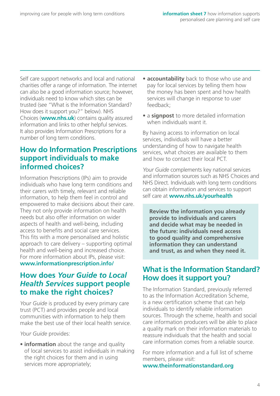Self care support networks and local and national charities offer a range of information. The interne t can also be a good information source; however, individuals need to know which sites can be trusted (see "What is the Information Standard? How does it support you?" below). NHS Choices (**[www.nhs.uk](http://www.nhs.uk)**) contains quality assured information and links to other helpful services. It also provides Information Prescriptions for a number of long term conditions.

## **How do Information Prescriptions support individuals to make informed choices?**

Information Prescriptions (IPs) aim to provide individuals who have long term conditions and their carers with timely, relevant and reliable information, to help them feel in control and empowered to make decisions about their care. They not only provide information on health needs but also offer information on wider aspects of health and well-being, including access to benefits and social care services. This fits with a more personalised and holistic approach to care delivery – supporting optimal health and well-being and increased choice. For more information about IPs, please visit: **[www.informationprescription.info/](http://www.informationprescription.info/)** 

## **How does** *Your Guide to Local Health Services* **support people to make the right choices?**

*Your Guide* is produced by every primary care trust (PCT) and provides people and local communities with information to help them make the best use of their local health service.

*Your Guide* provides:

• **information** about the range and quality of local services to assist individuals in making the right choices for them and in using services more appropriately;

- **accountability** back to those who use and pay for local services by telling them how the money has been spent and how health services will change in response to user feedback;
- a **signpost** to more detailed information when individuals want it.

By having access to information on local services, individuals will have a better understanding of how to navigate health services, what choices are available to them and how to contact their local PCT.

*Your Guide* complements key national services and information sources such as NHS Choices and NHS Direct. Individuals with long term conditions can obtain information and services to support self care at **[www.nhs.uk/yourhealth](http://www.nhs.uk/yourhealth)** 

**Review the information you already provide to individuals and carers and decide what may be needed in the future: individuals need access to good quality and comprehensive information they can understand and trust, as and when they need it.** 

## **What is the Information Standard? How does it support you?**

The Information Standard, previously referred to as the Information Accreditation Scheme, is a new certification scheme that can help individuals to identify reliable information sources. Through the scheme, health and social care information producers will be able to place a quality mark on their information materials to reassure individuals that the health and social care information comes from a reliable source.

For more information and a full list of scheme members, please visit:

**[www.theinformationstandard.org](http://www.theinformationstandard.org)**